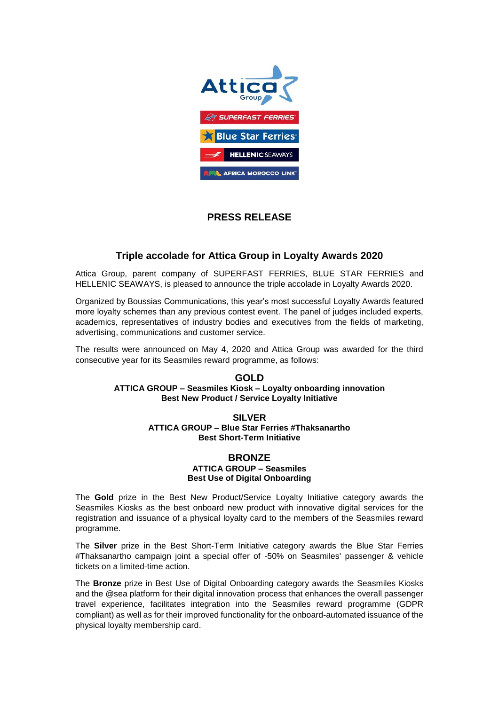

# **PRESS RELEASE**

## **Triple accolade for Attica Group in Loyalty Awards 2020**

Attica Group, parent company of SUPERFAST FERRIES, BLUE STAR FERRIES and HELLENIC SEAWAYS, is pleased to announce the triple accolade in Loyalty Awards 2020.

Organized by Boussias Communications, this year's most successful Loyalty Awards featured more loyalty schemes than any previous contest event. The panel of judges included experts, academics, representatives of industry bodies and executives from the fields of marketing, advertising, communications and customer service.

The results were announced on May 4, 2020 and Attica Group was awarded for the third consecutive year for its Seasmiles reward programme, as follows:

#### **GOLD ATTICA GROUP – Seasmiles Kiosk – Loyalty onboarding innovation Best New Product / Service Loyalty Initiative**

#### **SILVER ATTICA GROUP – Blue Star Ferries #Thaksanartho Best Short-Term Initiative**

### **BRONZE ATTICA GROUP – Seasmiles Best Use of Digital Onboarding**

The **Gold** prize in the Best New Product/Service Loyalty Initiative category awards the Seasmiles Kiosks as the best onboard new product with innovative digital services for the registration and issuance of a physical loyalty card to the members of the Seasmiles reward programme.

The **Silver** prize in the Best Short-Term Initiative category awards the Blue Star Ferries #Thaksanartho campaign joint a special offer of -50% on Seasmiles' passenger & vehicle tickets on a limited-time action.

The **Bronze** prize in Best Use of Digital Onboarding category awards the Seasmiles Kiosks and the @sea platform for their digital innovation process that enhances the overall passenger travel experience, facilitates integration into the Seasmiles reward programme (GDPR compliant) as well as for their improved functionality for the onboard-automated issuance of the physical loyalty membership card.